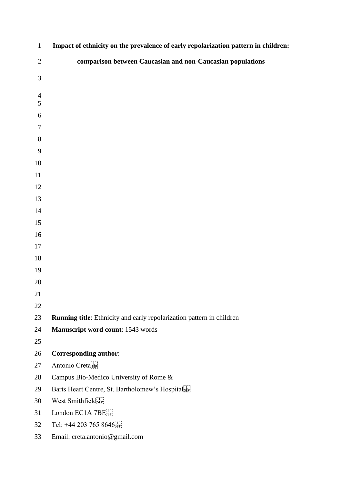| $\mathbf{1}$   | Impact of ethnicity on the prevalence of early repolarization pattern in children: |
|----------------|------------------------------------------------------------------------------------|
| $\sqrt{2}$     | comparison between Caucasian and non-Caucasian populations                         |
| $\mathfrak{Z}$ |                                                                                    |
| $\overline{4}$ |                                                                                    |
| 5              |                                                                                    |
| 6              |                                                                                    |
| $\tau$         |                                                                                    |
| 8              |                                                                                    |
| 9              |                                                                                    |
| 10<br>11       |                                                                                    |
| 12             |                                                                                    |
| 13             |                                                                                    |
| 14             |                                                                                    |
| 15             |                                                                                    |
| 16             |                                                                                    |
| 17             |                                                                                    |
| 18             |                                                                                    |
| 19             |                                                                                    |
| 20             |                                                                                    |
| 21             |                                                                                    |
| 22             |                                                                                    |
| 23             | Running title: Ethnicity and early repolarization pattern in children              |
| 24             | Manuscript word count: 1543 words                                                  |
| 25             |                                                                                    |
| 26             | <b>Corresponding author:</b>                                                       |
| 27             | Antonio Creta                                                                      |
| 28             | Campus Bio-Medico University of Rome &                                             |
| 29             | Barts Heart Centre, St. Bartholomew's Hospital                                     |
| 30             | West Smithfieldsep.                                                                |
| 31             | London EC1A 7BE                                                                    |
| 32             | Tel: +44 203 765 8646 $5$                                                          |
| 33             | Email: creta.antonio@gmail.com                                                     |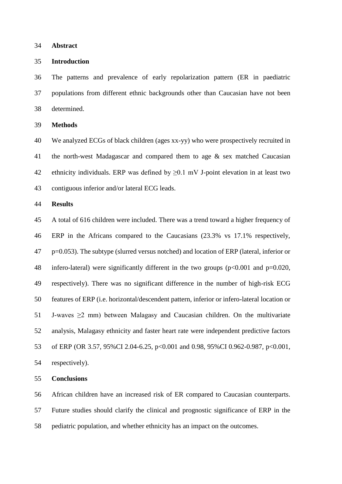**Abstract**

# **Introduction**

 The patterns and prevalence of early repolarization pattern (ER in paediatric populations from different ethnic backgrounds other than Caucasian have not been determined.

**Methods**

 We analyzed ECGs of black children (ages xx-yy) who were prospectively recruited in the north-west Madagascar and compared them to age & sex matched Caucasian 42 ethnicity individuals. ERP was defined by  $\geq 0.1$  mV J-point elevation in at least two contiguous inferior and/or lateral ECG leads.

# **Results**

 A total of 616 children were included. There was a trend toward a higher frequency of ERP in the Africans compared to the Caucasians (23.3% vs 17.1% respectively, p=0.053). The subtype (slurred versus notched) and location of ERP (lateral, inferior or infero-lateral) were significantly different in the two groups (p<0.001 and p=0.020, respectively). There was no significant difference in the number of high-risk ECG features of ERP (i.e. horizontal/descendent pattern, inferior or infero-lateral location or 51 J-waves  $\geq$ 2 mm) between Malagasy and Caucasian children. On the multivariate analysis, Malagasy ethnicity and faster heart rate were independent predictive factors of ERP (OR 3.57, 95%CI 2.04-6.25, p<0.001 and 0.98, 95%CI 0.962-0.987, p<0.001, respectively).

**Conclusions**

 African children have an increased risk of ER compared to Caucasian counterparts. Future studies should clarify the clinical and prognostic significance of ERP in the pediatric population, and whether ethnicity has an impact on the outcomes.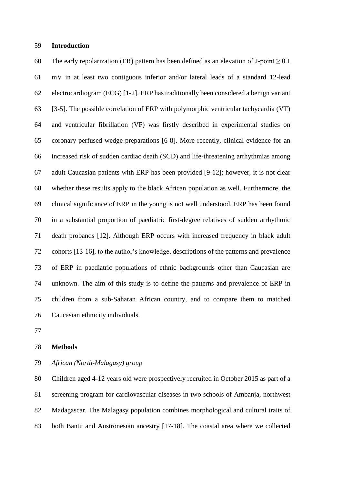# **Introduction**

60 The early repolarization (ER) pattern has been defined as an elevation of J-point  $> 0.1$  mV in at least two contiguous inferior and/or lateral leads of a standard 12-lead electrocardiogram (ECG) [1-2]. ERP has traditionally been considered a benign variant [3-5]. The possible correlation of ERP with polymorphic ventricular tachycardia (VT) and ventricular fibrillation (VF) was firstly described in experimental studies on coronary-perfused wedge preparations [6-8]. More recently, clinical evidence for an increased risk of sudden cardiac death (SCD) and life-threatening arrhythmias among adult Caucasian patients with ERP has been provided [9-12]; however, it is not clear whether these results apply to the black African population as well. Furthermore, the clinical significance of ERP in the young is not well understood. ERP has been found in a substantial proportion of paediatric first-degree relatives of sudden arrhythmic death probands [12]. Although ERP occurs with increased frequency in black adult cohorts [13-16], to the author's knowledge, descriptions of the patterns and prevalence of ERP in paediatric populations of ethnic backgrounds other than Caucasian are unknown. The aim of this study is to define the patterns and prevalence of ERP in children from a sub-Saharan African country, and to compare them to matched Caucasian ethnicity individuals.

#### **Methods**

*African (North-Malagasy) group*

 Children aged 4-12 years old were prospectively recruited in October 2015 as part of a screening program for cardiovascular diseases in two schools of Ambanja, northwest Madagascar. The Malagasy population combines morphological and cultural traits of both Bantu and Austronesian ancestry [17-18]. The coastal area where we collected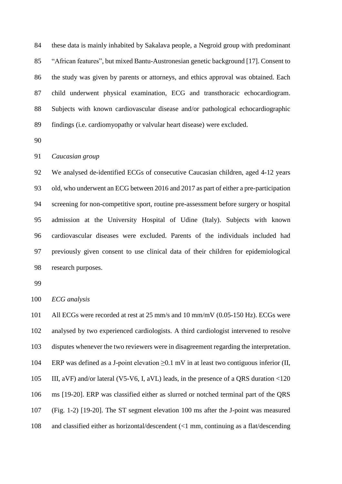these data is mainly inhabited by Sakalava people, a Negroid group with predominant "African features", but mixed Bantu-Austronesian genetic background [17]. Consent to the study was given by parents or attorneys, and ethics approval was obtained. Each child underwent physical examination, ECG and transthoracic echocardiogram. Subjects with known cardiovascular disease and/or pathological echocardiographic findings (i.e. cardiomyopathy or valvular heart disease) were excluded.

#### *Caucasian group*

 We analysed de-identified ECGs of consecutive Caucasian children, aged 4-12 years old, who underwent an ECG between 2016 and 2017 as part of either a pre-participation screening for non-competitive sport, routine pre-assessment before surgery or hospital admission at the University Hospital of Udine (Italy). Subjects with known cardiovascular diseases were excluded. Parents of the individuals included had previously given consent to use clinical data of their children for epidemiological research purposes.

*ECG analysis*

 All ECGs were recorded at rest at 25 mm/s and 10 mm/mV (0.05-150 Hz). ECGs were analysed by two experienced cardiologists. A third cardiologist intervened to resolve disputes whenever the two reviewers were in disagreement regarding the interpretation. ERP was defined as a J-point elevation ≥0.1 mV in at least two contiguous inferior (II, III, aVF) and/or lateral (V5-V6, I, aVL) leads, in the presence of a QRS duration <120 ms [19-20]. ERP was classified either as slurred or notched terminal part of the QRS (Fig. 1-2) [19-20]. The ST segment elevation 100 ms after the J-point was measured and classified either as horizontal/descendent (<1 mm, continuing as a flat/descending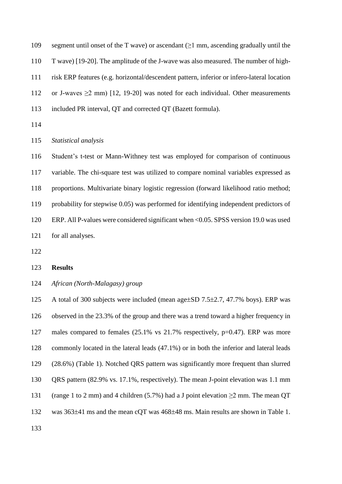109 segment until onset of the T wave) or ascendant  $(\geq 1 \text{ mm})$ , ascending gradually until the T wave) [19-20]. The amplitude of the J-wave was also measured. The number of high- risk ERP features (e.g. horizontal/descendent pattern, inferior or infero-lateral location 112 or J-waves  $\geq 2$  mm) [12, 19-20] was noted for each individual. Other measurements included PR interval, QT and corrected QT (Bazett formula).

*Statistical analysis*

 Student's t-test or Mann-Withney test was employed for comparison of continuous variable. The chi-square test was utilized to compare nominal variables expressed as proportions. Multivariate binary logistic regression (forward likelihood ratio method; probability for stepwise 0.05) was performed for identifying independent predictors of ERP. All P-values were considered significant when <0.05. SPSS version 19.0 was used for all analyses.

### **Results**

*African (North-Malagasy) group*

125 A total of 300 subjects were included (mean age that  $7.5\pm2.7$ , 47.7% boys). ERP was observed in the 23.3% of the group and there was a trend toward a higher frequency in males compared to females (25.1% vs 21.7% respectively, p=0.47). ERP was more commonly located in the lateral leads (47.1%) or in both the inferior and lateral leads (28.6%) (Table 1). Notched QRS pattern was significantly more frequent than slurred QRS pattern (82.9% vs. 17.1%, respectively). The mean J-point elevation was 1.1 mm 131 (range 1 to 2 mm) and 4 children (5.7%) had a J point elevation  $\geq$ 2 mm. The mean QT 132 was  $363\pm41$  ms and the mean cQT was  $468\pm48$  ms. Main results are shown in Table 1.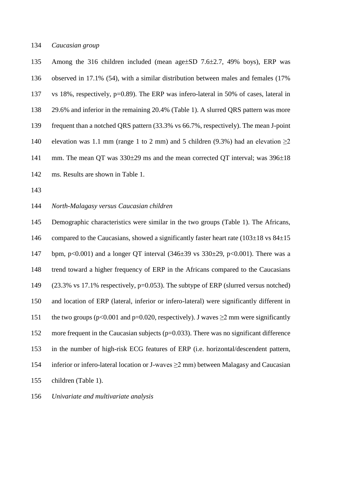# *Caucasian group*

135 Among the 316 children included (mean age tSD 7.6 t2.7, 49% boys), ERP was observed in 17.1% (54), with a similar distribution between males and females (17% vs 18%, respectively, p=0.89). The ERP was infero-lateral in 50% of cases, lateral in 29.6% and inferior in the remaining 20.4% (Table 1). A slurred QRS pattern was more frequent than a notched QRS pattern (33.3% vs 66.7%, respectively). The mean J-point 140 elevation was 1.1 mm (range 1 to 2 mm) and 5 children (9.3%) had an elevation  $\geq$ 2 141 mm. The mean QT was  $330\pm 29$  ms and the mean corrected QT interval; was  $396\pm 18$ ms. Results are shown in Table 1.

# *North-Malagasy versus Caucasian children*

 Demographic characteristics were similar in the two groups (Table 1). The Africans, 146 compared to the Caucasians, showed a significantly faster heart rate  $(103\pm18 \text{ vs } 84\pm15 \text{ s})$ 147 bpm, p<0.001) and a longer QT interval  $(346\pm39 \text{ vs } 330\pm29, \text{ p} < 0.001)$ . There was a trend toward a higher frequency of ERP in the Africans compared to the Caucasians (23.3% vs 17.1% respectively, p=0.053). The subtype of ERP (slurred versus notched) and location of ERP (lateral, inferior or infero-lateral) were significantly different in 151 the two groups ( $p<0.001$  and  $p=0.020$ , respectively). J waves  $\geq 2$  mm were significantly more frequent in the Caucasian subjects (p=0.033). There was no significant difference in the number of high-risk ECG features of ERP (i.e. horizontal/descendent pattern, inferior or infero-lateral location or J-waves ≥2 mm) between Malagasy and Caucasian children (Table 1).

*Univariate and multivariate analysis*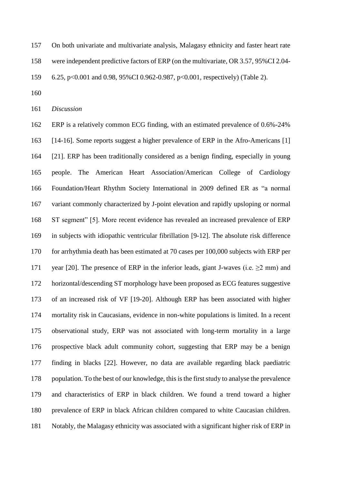- On both univariate and multivariate analysis, Malagasy ethnicity and faster heart rate
- were independent predictive factors of ERP (on the multivariate, OR 3.57, 95%CI 2.04-
- 6.25, p<0.001 and 0.98, 95%CI 0.962-0.987, p<0.001, respectively) (Table 2).
- 

*Discussion*

 ERP is a relatively common ECG finding, with an estimated prevalence of 0.6%-24% [14-16]. Some reports suggest a higher prevalence of ERP in the Afro-Americans [1] [21]. ERP has been traditionally considered as a benign finding, especially in young people. The American Heart Association/American College of Cardiology Foundation/Heart Rhythm Society International in 2009 defined ER as "a normal variant commonly characterized by J-point elevation and rapidly upsloping or normal ST segment" [5]. More recent evidence has revealed an increased prevalence of ERP in subjects with idiopathic ventricular fibrillation [9-12]. The absolute risk difference for arrhythmia death has been estimated at 70 cases per 100,000 subjects with ERP per 171 year [20]. The presence of ERP in the inferior leads, giant J-waves (i.e.  $\geq$ 2 mm) and horizontal/descending ST morphology have been proposed as ECG features suggestive of an increased risk of VF [19-20]. Although ERP has been associated with higher mortality risk in Caucasians, evidence in non-white populations is limited. In a recent observational study, ERP was not associated with long-term mortality in a large prospective black adult community cohort, suggesting that ERP may be a benign finding in blacks [22]. However, no data are available regarding black paediatric population. To the best of our knowledge, this is the first study to analyse the prevalence and characteristics of ERP in black children. We found a trend toward a higher prevalence of ERP in black African children compared to white Caucasian children. Notably, the Malagasy ethnicity was associated with a significant higher risk of ERP in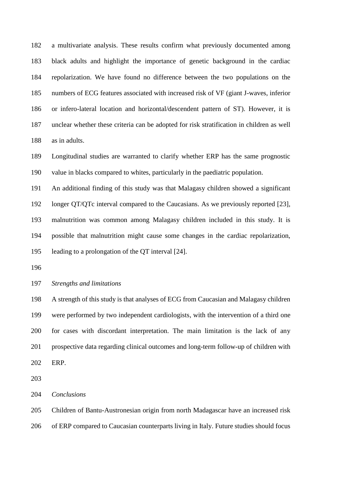a multivariate analysis. These results confirm what previously documented among black adults and highlight the importance of genetic background in the cardiac repolarization. We have found no difference between the two populations on the numbers of ECG features associated with increased risk of VF (giant J-waves, inferior or infero-lateral location and horizontal/descendent pattern of ST). However, it is unclear whether these criteria can be adopted for risk stratification in children as well as in adults.

 Longitudinal studies are warranted to clarify whether ERP has the same prognostic value in blacks compared to whites, particularly in the paediatric population.

 An additional finding of this study was that Malagasy children showed a significant longer QT/QTc interval compared to the Caucasians. As we previously reported [23], malnutrition was common among Malagasy children included in this study. It is possible that malnutrition might cause some changes in the cardiac repolarization, leading to a prolongation of the QT interval [24].

# *Strengths and limitations*

 A strength of this study is that analyses of ECG from Caucasian and Malagasy children were performed by two independent cardiologists, with the intervention of a third one for cases with discordant interpretation. The main limitation is the lack of any prospective data regarding clinical outcomes and long-term follow-up of children with ERP.

*Conclusions*

Children of Bantu-Austronesian origin from north Madagascar have an increased risk

of ERP compared to Caucasian counterparts living in Italy. Future studies should focus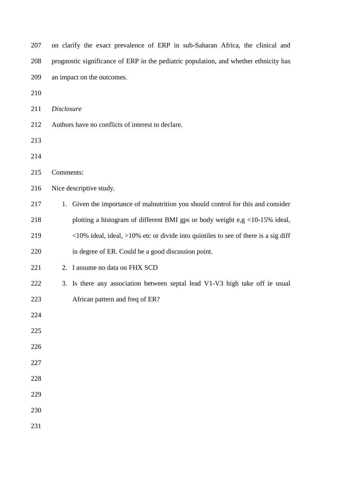| 208 | prognostic significance of ERP in the pediatric population, and whether ethnicity has    |  |  |  |  |  |  |
|-----|------------------------------------------------------------------------------------------|--|--|--|--|--|--|
| 209 | an impact on the outcomes.                                                               |  |  |  |  |  |  |
| 210 |                                                                                          |  |  |  |  |  |  |
| 211 | <b>Disclosure</b>                                                                        |  |  |  |  |  |  |
| 212 | Authors have no conflicts of interest to declare.                                        |  |  |  |  |  |  |
| 213 |                                                                                          |  |  |  |  |  |  |
| 214 |                                                                                          |  |  |  |  |  |  |
| 215 | Comments:                                                                                |  |  |  |  |  |  |
| 216 | Nice descriptive study.                                                                  |  |  |  |  |  |  |
| 217 | 1. Given the importance of malnutrition you should control for this and consider         |  |  |  |  |  |  |
| 218 | plotting a histogram of different BMI gps or body weight e,g <10-15% ideal,              |  |  |  |  |  |  |
| 219 | $<10\%$ ideal, ideal, $>10\%$ etc or divide into quintiles to see of there is a sig diff |  |  |  |  |  |  |
| 220 | in degree of ER. Could be a good discussion point.                                       |  |  |  |  |  |  |
| 221 | 2. I assume no data on FHX SCD                                                           |  |  |  |  |  |  |
| 222 | 3. Is there any association between septal lead V1-V3 high take off ie usual             |  |  |  |  |  |  |
| 223 | African pattern and freq of ER?                                                          |  |  |  |  |  |  |
| 224 |                                                                                          |  |  |  |  |  |  |
| 225 |                                                                                          |  |  |  |  |  |  |
| 226 |                                                                                          |  |  |  |  |  |  |
| 227 |                                                                                          |  |  |  |  |  |  |
| 228 |                                                                                          |  |  |  |  |  |  |
| 229 |                                                                                          |  |  |  |  |  |  |
| 230 |                                                                                          |  |  |  |  |  |  |
| 231 |                                                                                          |  |  |  |  |  |  |

on clarify the exact prevalence of ERP in sub-Saharan Africa, the clinical and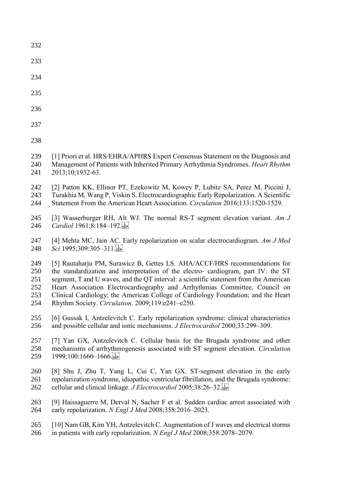- 
- 
- 
- 
- 

- [1] Priori et al. HRS/EHRA/APHRS Expert Consensus Statement on the Diagnosis and Management of Patients with Inherited Primary Arrhythmia Syndromes. *Heart Rhythm* 2013;10;1932-63.
- [2] Patton KK, Ellinor PT, Ezekowitz M, Kowey P, Lubitz SA, Perez M, Piccini J, Turakhia M, Wang P, Viskin S. Electrocardiographic Early Repolarization. A Scientific
- Statement From the American Heart Association. *Circulation* 2016;133:1520-1529.
- [3] Wasserburger RH, Alt WJ. The normal RS-T segment elevation variant. *Am J Cardiol* 1961;8:184–192.
- [4] Mehta MC, Jain AC. Early repolarization on scalar electrocardiogram. *Am J Med Sci* 1995;309:305–311.
- [5] Rautaharju PM, Surawicz B, Gettes LS. AHA/ACCF/HRS recommendations for the standardization and interpretation of the electro- cardiogram, part IV: the ST segment, T and U waves, and the QT interval: a scientific statement from the American Heart Association Electrocardiography and Arrhythmias Committee, Council on Clinical Cardiology; the American College of Cardiology Foundation; and the Heart Rhythm Society. *Circulation*. 2009;119:e241–e250.
- [6] Gussak I, Antzelevitch C. Early repolarization syndrome: clinical characteristics and possible cellular and ionic mechanisms. *J Electrocardiol* 2000;33:299–309.
- [7] Yan GX, Antzelevitch C. Cellular basis for the Brugada syndrome and other mechanisms of arrhythmogenesis associated with ST segment elevation. *Circulation*  259 1999;100:1660-1666.
- [8] Shu J, Zhu T, Yang L, Cui C, Yan GX. ST-segment elevation in the early repolarization syndrome, idiopathic ventricular fibrillation, and the Brugada syndrome: cellular and clinical linkage. *J Electrocardiol* 2005;38:26–32.
- [9] Haissaguerre M, Derval N, Sacher F et al. Sudden cardiac arrest associated with early repolarization. *N Engl J Med* 2008;358:2016–2023.
- [10] Nam GB, Kim YH, Antzelevitch C. Augmentation of J waves and electrical storms in patients with early repolarization. *N Engl J Med* 2008;358:2078–2079.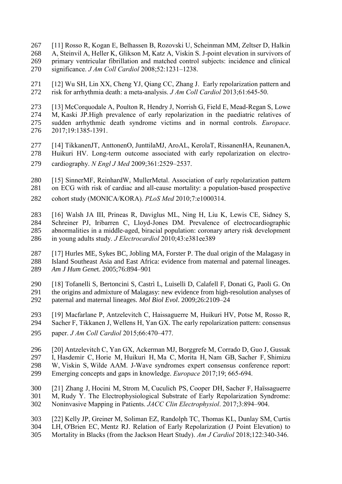- [11] Rosso R, Kogan E, Belhassen B, Rozovski U, Scheinman MM, Zeltser D, Halkin A, Steinvil A, Heller K, Glikson M, Katz A, Viskin S. J-point elevation in survivors of primary ventricular fibrillation and matched control subjects: incidence and clinical significance. *J Am Coll Cardiol* 2008;52:1231–1238.
- [12] Wu SH, Lin XX, Cheng YJ, Qiang CC, Zhang J. Early repolarization pattern and risk for arrhythmia death: a meta-analysis. *J Am Coll Cardiol* 2013;61:645-50.
- [13] McCorquodale A, Poulton R, Hendry J, Norrish G, Field E, Mead-Regan S, Lowe M, Kaski JP.High prevalence of early repolarization in the paediatric relatives of sudden arrhythmic death syndrome victims and in normal controls. *Europace*. 2017;19:1385-1391.
- [14] TikkanenJT, AnttonenO, JunttilaMJ, AroAL, KerolaT, RissanenHA, ReunanenA,
- Huikuri HV. Long-term outcome associated with early repolarization on electro-
- cardiography. *N Engl J Med* 2009;361:2529–2537.
- [15] SinnerMF, ReinhardW, MullerMetal. Association of early repolarization pattern
- on ECG with risk of cardiac and all-cause mortality: a population-based prospective
- cohort study (MONICA/KORA). *PLoS Med* 2010;7:e1000314.
- [16] Walsh JA III, Prineas R, Daviglus ML, Ning H, Liu K, Lewis CE, Sidney S, Schreiner PJ, Iribarren C, Lloyd-Jones DM. Prevalence of electrocardiographic abnormalities in a middle-aged, biracial population: coronary artery risk development in young adults study. *J Electrocardiol* 2010;43:e381ee389
- [17] Hurles ME, Sykes BC, Jobling MA, Forster P. The dual origin of the Malagasy in Island Southeast Asia and East Africa: evidence from maternal and paternal lineages. *Am J Hum Gene*t. 2005;76:894–901
- [18] Tofanelli S, Bertoncini S, Castrì L, Luiselli D, Calafell F, Donati G, Paoli G. On the origins and admixture of Malagasy: new evidence from high-resolution analyses of paternal and maternal lineages. *Mol Biol Evol*. 2009;26:2109–24
- [19] Macfarlane P, Antzelevitch C, Haissaguerre M, Huikuri HV, Potse M, Rosso R, Sacher F, Tikkanen J, Wellens H, Yan GX. The early repolarization pattern: consensus
- paper. *J Am Coll Cardiol* 2015;66:470–477.
- [20] Antzelevitch C, Yan GX, Ackerman MJ, Borggrefe M, Corrado D, Guo J, Gussak I, Hasdemir C, Horie M, Huikuri H, Ma C, Morita H, Nam GB, Sacher F, Shimizu W, Viskin S, Wilde AAM. J-Wave syndromes expert consensus conference report: Emerging concepts and gaps in knowledge. *Europace* 2017;19; 665-694.
- [21] Zhang J, Hocini M, Strom M, Cuculich PS, Cooper DH, Sacher F, Haïssaguerre M, Rudy Y. The Electrophysiological Substrate of Early Repolarization Syndrome: Noninvasive Mapping in Patients. *JACC Clin Electrophysiol*. 2017;3:894–904.
- [22] Kelly JP, Greiner M, Soliman EZ, Randolph TC, Thomas KL, Dunlay SM, Curtis LH, O'Brien EC, Mentz RJ. Relation of Early Repolarization (J Point Elevation) to Mortality in Blacks (from the Jackson Heart Study). *Am J Cardiol* 2018;122:340-346.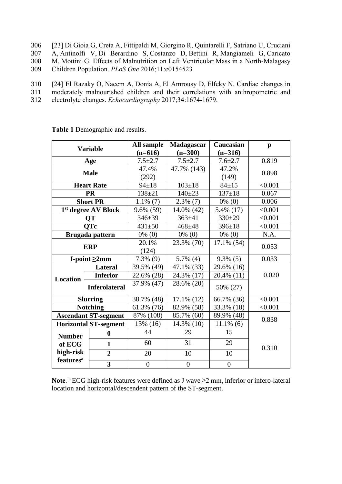- 306 [23] Di Gioia G, Creta A, Fittipaldi M, Giorgino R, Quintarelli F, Satriano U, Cruciani 307 A, Antinolfi V, Di Berardino S, Costanzo D, Bettini R, Mangiameli G, Caricato 308 M, Mottini G. Effects of Malnutrition on Left Ventricular Mass in a North-Malagasy 309 Children Population. *PLoS One* 2016;11:e0154523
- 310 **[**24] El Razaky O, Naeem A, Donia A, El Amrousy D, Elfeky N. Cardiac changes in
- 311 moderately malnourished children and their correlations with anthropometric and
- 312 electrolyte changes. *Echocardiography* 2017;34:1674-1679.

|                              | <b>Variable</b>              | All sample     | Madagascar               | Caucasian      | $\mathbf{p}$ |  |
|------------------------------|------------------------------|----------------|--------------------------|----------------|--------------|--|
|                              |                              | $(n=616)$      | $(n=300)$                | $(n=316)$      |              |  |
|                              | Age                          | $7.5 \pm 2.7$  | $7.5 + 2.7$              | $7.6 \pm 2.7$  | 0.819        |  |
|                              | <b>Male</b>                  | 47.4%          | 47.7% (143)              | 47.2%          | 0.898        |  |
|                              |                              | (292)          | (149)                    |                |              |  |
|                              | <b>Heart Rate</b>            | $94 \pm 18$    | $103 \pm 18$             | $84 \pm 15$    | < 0.001      |  |
|                              | <b>PR</b>                    | $138 + 21$     | $140 + 23$               | $137 \pm 18$   | 0.067        |  |
|                              | <b>Short PR</b>              | $1.1\%$ (7)    | $0\%$ (0)<br>$2.3\%$ (7) |                | 0.006        |  |
|                              | 1st degree AV Block          | 9.6% (59)      | 5.4% (17)<br>14.0% (42)  |                | < 0.001      |  |
|                              | QT                           | $346 + 39$     | $363 \pm 41$<br>$330+29$ |                | < 0.001      |  |
|                              | <b>QTc</b>                   | $431 + 50$     | $468 + 48$               | $396 \pm 18$   | < 0.001      |  |
|                              | Brugada pattern              | $0\%$ (0)      | $0\%$ (0)                | $0\%$ (0)      | N.A.         |  |
| <b>ERP</b>                   |                              | 20.1%          | 23.3% (70)               | 17.1% (54)     | 0.053        |  |
|                              |                              | (124)          |                          |                |              |  |
|                              | $J$ -point $\geq 2$ mm       | $7.3\%$ (9)    | $5.7\%$ (4)              | $9.3\%$ (5)    | 0.033        |  |
|                              | <b>Lateral</b>               | 39.5% (49)     | 47.1% (33)               | 29.6% (16)     | 0.020        |  |
| <b>Location</b>              | <b>Inferior</b>              | 22.6% (28)     | 24.3% (17)               | 20.4% (11)     |              |  |
|                              | <b>Inferolateral</b>         | 37.9% (47)     | 28.6% (20)               | 50% (27)       |              |  |
| <b>Slurring</b>              |                              | 38.7% (48)     | $17.1\%$ (12)            | 66.7% (36)     | < 0.001      |  |
|                              | <b>Notching</b>              | 61.3% (76)     | 82.9% (58)               | 33.3% (18)     | < 0.001      |  |
|                              | <b>Ascendant ST-segment</b>  | 87% (108)      | 85.7% (60)<br>89.9% (48) |                | 0.838        |  |
|                              | <b>Horizontal ST-segment</b> | 13% (16)       | 14.3% (10)               | $11.1\%$ (6)   |              |  |
| <b>Number</b>                | $\bf{0}$                     | 44             | 29                       | 15             |              |  |
| of ECG                       | $\mathbf{1}$                 | 60             | 31                       | 29             | 0.310        |  |
| high-risk                    | $\overline{2}$               | 20             | 10                       | 10             |              |  |
| <b>features</b> <sup>a</sup> | $\overline{\mathbf{3}}$      | $\overline{0}$ | $\overline{0}$           | $\overline{0}$ |              |  |

**Table 1** Demographic and results.

Note. <sup>a</sup> ECG high-risk features were defined as J wave ≥2 mm, inferior or infero-lateral location and horizontal/descendent pattern of the ST-segment.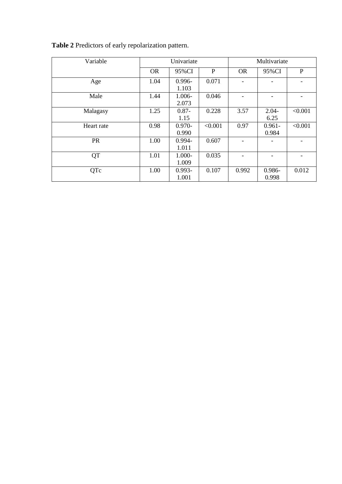| Variable   | Univariate |           |         | Multivariate |           |         |
|------------|------------|-----------|---------|--------------|-----------|---------|
|            | <b>OR</b>  | 95%CI     | P       | <b>OR</b>    | 95%CI     | P       |
| Age        | 1.04       | $0.996 -$ | 0.071   |              |           |         |
|            |            | 1.103     |         |              |           |         |
| Male       | 1.44       | 1.006-    | 0.046   |              |           |         |
|            |            | 2.073     |         |              |           |         |
| Malagasy   | 1.25       | $0.87 -$  | 0.228   | 3.57         | $2.04 -$  | < 0.001 |
|            |            | 1.15      |         |              | 6.25      |         |
| Heart rate | 0.98       | $0.970 -$ | < 0.001 | 0.97         | $0.961 -$ | < 0.001 |
|            |            | 0.990     |         |              | 0.984     |         |
| <b>PR</b>  | 1.00       | $0.994 -$ | 0.607   |              |           |         |
|            |            | 1.011     |         |              |           |         |
| <b>QT</b>  | 1.01       | 1.000-    | 0.035   |              |           |         |
|            |            | 1.009     |         |              |           |         |
| QTc        | 1.00       | $0.993 -$ | 0.107   | 0.992        | 0.986-    | 0.012   |
|            |            | 1.001     |         |              | 0.998     |         |

**Table 2** Predictors of early repolarization pattern.